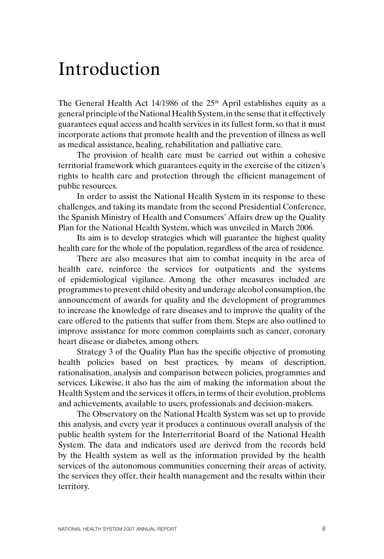## Introduction

The General Health Act 14/1986 of the  $25<sup>th</sup>$  April establishes equity as a general principle of the National Health System, in the sense that it effectively guarantees equal access and health services in its fullest form, so that it must incorporate actions that promote health and the prevention of illness as well as medical assistance, healing, rehabilitation and palliative care.

The provision of health care must be carried out within a cohesive territorial framework which guarantees equity in the exercise of the citizen's rights to health care and protection through the efficient management of public resources.

In order to assist the National Health System in its response to these challenges, and taking its mandate from the second Presidential Conference, the Spanish Ministry of Health and Consumers' Affairs drew up the Quality Plan for the National Health System, which was unveiled in March 2006.

Its aim is to develop strategies which will guarantee the highest quality health care for the whole of the population, regardless of the area of residence.

There are also measures that aim to combat inequity in the area of health care, reinforce the services for outpatients and the systems of epidemiological vigilance. Among the other measures included are programmes to prevent child obesity and underage alcohol consumption, the announcement of awards for quality and the development of programmes to increase the knowledge of rare diseases and to improve the quality of the care offered to the patients that suffer from them. Steps are also outlined to improve assistance for more common complaints such as cancer, coronary heart disease or diabetes, among others.

Strategy 3 of the Quality Plan has the specific objective of promoting health policies based on best practices, by means of description, rationalisation, analysis and comparison between policies, programmes and services. Likewise, it also has the aim of making the information about the Health System and the services it offers, in terms of their evolution, problems and achievements, available to users, professionals and decision-makers.

The Observatory on the National Health System was set up to provide this analysis, and every year it produces a continuous overall analysis of the public health system for the Interterritorial Board of the National Health System. The data and indicators used are derived from the records held by the Health system as well as the information provided by the health services of the autonomous communities concerning their areas of activity, the services they offer, their health management and the results within their territory.